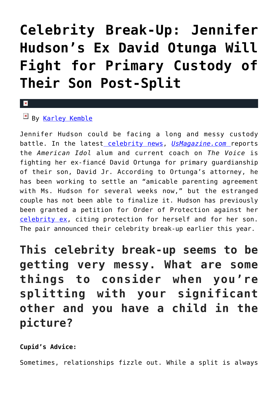## **[Celebrity Break-Up: Jennifer](https://cupidspulse.com/121691/celebrity-break-up-jennifer-hudsons-david-otunga-fight-custody-son/) [Hudson's Ex David Otunga Will](https://cupidspulse.com/121691/celebrity-break-up-jennifer-hudsons-david-otunga-fight-custody-son/) [Fight for Primary Custody of](https://cupidspulse.com/121691/celebrity-break-up-jennifer-hudsons-david-otunga-fight-custody-son/) [Their Son Post-Split](https://cupidspulse.com/121691/celebrity-break-up-jennifer-hudsons-david-otunga-fight-custody-son/)**

## $By$  [Karley Kemble](http://cupidspulse.com/121255/karley-kemble/)

Jennifer Hudson could be facing a long and messy custody battle. In the latest [celebrity news,](https://www.cupidspulse.com) *[UsMagazine.com](https://www.usmagazine.com/celebrity-news/news/jennifer-hudsons-ex-david-otunga-to-fight-for-primary-custody-post-split/)* reports the *American Idol* alum and current coach on *The Voice* is fighting her ex-fiancé David Ortunga for primary guardianship of their son, David Jr. According to Ortunga's attorney, he has been working to settle an "amicable parenting agreement with Ms. Hudson for several weeks now," but the estranged couple has not been able to finalize it. Hudson has previously been granted a petition for Order of Protection against her [celebrity ex](http://cupidspulse.com/celebrity-relationships/break-up-divorce/), citing protection for herself and for her son. The pair announced their celebrity break-up earlier this year.

**This celebrity break-up seems to be getting very messy. What are some things to consider when you're splitting with your significant other and you have a child in the picture?**

**Cupid's Advice:**

Sometimes, relationships fizzle out. While a split is always